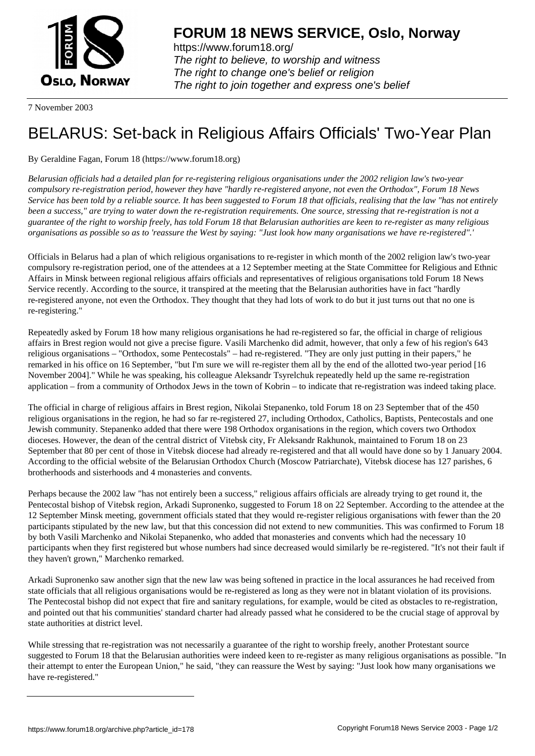

https://www.forum18.org/ The right to believe, to worship and witness The right to change one's belief or religion [The right to join together a](https://www.forum18.org/)nd express one's belief

7 November 2003

## [BELARUS: Set-](https://www.forum18.org)back in Religious Affairs Officials' Two-Year Plan

## By Geraldine Fagan, Forum 18 (https://www.forum18.org)

*Belarusian officials had a detailed plan for re-registering religious organisations under the 2002 religion law's two-year compulsory re-registration period, however they have "hardly re-registered anyone, not even the Orthodox", Forum 18 News Service has been told by a reliable source. It has been suggested to Forum 18 that officials, realising that the law "has not entirely been a success," are trying to water down the re-registration requirements. One source, stressing that re-registration is not a guarantee of the right to worship freely, has told Forum 18 that Belarusian authorities are keen to re-register as many religious organisations as possible so as to 'reassure the West by saying: "Just look how many organisations we have re-registered".'*

Officials in Belarus had a plan of which religious organisations to re-register in which month of the 2002 religion law's two-year compulsory re-registration period, one of the attendees at a 12 September meeting at the State Committee for Religious and Ethnic Affairs in Minsk between regional religious affairs officials and representatives of religious organisations told Forum 18 News Service recently. According to the source, it transpired at the meeting that the Belarusian authorities have in fact "hardly re-registered anyone, not even the Orthodox. They thought that they had lots of work to do but it just turns out that no one is re-registering."

Repeatedly asked by Forum 18 how many religious organisations he had re-registered so far, the official in charge of religious affairs in Brest region would not give a precise figure. Vasili Marchenko did admit, however, that only a few of his region's 643 religious organisations – "Orthodox, some Pentecostals" – had re-registered. "They are only just putting in their papers," he remarked in his office on 16 September, "but I'm sure we will re-register them all by the end of the allotted two-year period [16 November 2004]." While he was speaking, his colleague Aleksandr Tsyrelchuk repeatedly held up the same re-registration application – from a community of Orthodox Jews in the town of Kobrin – to indicate that re-registration was indeed taking place.

The official in charge of religious affairs in Brest region, Nikolai Stepanenko, told Forum 18 on 23 September that of the 450 religious organisations in the region, he had so far re-registered 27, including Orthodox, Catholics, Baptists, Pentecostals and one Jewish community. Stepanenko added that there were 198 Orthodox organisations in the region, which covers two Orthodox dioceses. However, the dean of the central district of Vitebsk city, Fr Aleksandr Rakhunok, maintained to Forum 18 on 23 September that 80 per cent of those in Vitebsk diocese had already re-registered and that all would have done so by 1 January 2004. According to the official website of the Belarusian Orthodox Church (Moscow Patriarchate), Vitebsk diocese has 127 parishes, 6 brotherhoods and sisterhoods and 4 monasteries and convents.

Perhaps because the 2002 law "has not entirely been a success," religious affairs officials are already trying to get round it, the Pentecostal bishop of Vitebsk region, Arkadi Supronenko, suggested to Forum 18 on 22 September. According to the attendee at the 12 September Minsk meeting, government officials stated that they would re-register religious organisations with fewer than the 20 participants stipulated by the new law, but that this concession did not extend to new communities. This was confirmed to Forum 18 by both Vasili Marchenko and Nikolai Stepanenko, who added that monasteries and convents which had the necessary 10 participants when they first registered but whose numbers had since decreased would similarly be re-registered. "It's not their fault if they haven't grown," Marchenko remarked.

Arkadi Supronenko saw another sign that the new law was being softened in practice in the local assurances he had received from state officials that all religious organisations would be re-registered as long as they were not in blatant violation of its provisions. The Pentecostal bishop did not expect that fire and sanitary regulations, for example, would be cited as obstacles to re-registration, and pointed out that his communities' standard charter had already passed what he considered to be the crucial stage of approval by state authorities at district level.

While stressing that re-registration was not necessarily a guarantee of the right to worship freely, another Protestant source suggested to Forum 18 that the Belarusian authorities were indeed keen to re-register as many religious organisations as possible. "In their attempt to enter the European Union," he said, "they can reassure the West by saying: "Just look how many organisations we have re-registered."